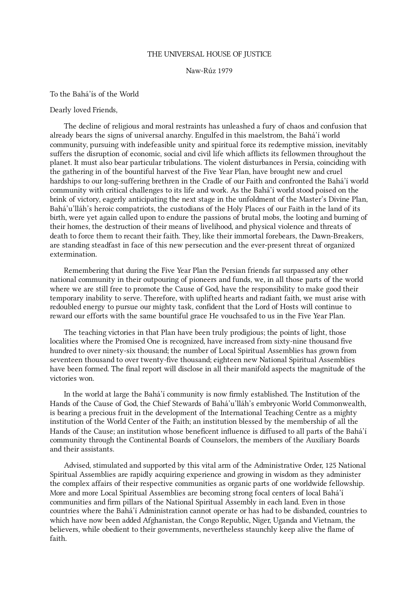## THE UNIVERSAL HOUSE OF JUSTICE

## Naw-Rúz 1979

To the Bahá'ís of the World

## Dearly loved Friends,

The decline of religious and moral restraints has unleashed a fury of chaos and confusion that already bears the signs of universal anarchy. Engulfed in this maelstrom, the Bahá'í world community, pursuing with indefeasible unity and spiritual force its redemptive mission, inevitably suffers the disruption of economic, social and civil life which afflicts its fellowmen throughout the planet. It must also bear particular tribulations. The violent disturbances in Persia, coinciding with the gathering in of the bountiful harvest of the Five Year Plan, have brought new and cruel hardships to our long-suffering brethren in the Cradle of our Faith and confronted the Bahá'í world community with critical challenges to its life and work. As the Bahá'í world stood poised on the brink of victory, eagerly anticipating the next stage in the unfoldment of the Master's Divine Plan, Bahá'u'lláh's heroic compatriots, the custodians of the Holy Places of our Faith in the land of its birth, were yet again called upon to endure the passions of brutal mobs, the looting and burning of their homes, the destruction of their means of livelihood, and physical violence and threats of death to force them to recant their faith. They, like their immortal forebears, the Dawn-Breakers, are standing steadfast in face of this new persecution and the ever-present threat of organized extermination.

Remembering that during the Five Year Plan the Persian friends far surpassed any other national community in their outpouring of pioneers and funds, we, in all those parts of the world where we are still free to promote the Cause of God, have the responsibility to make good their temporary inability to serve. Therefore, with uplifted hearts and radiant faith, we must arise with redoubled energy to pursue our mighty task, confident that the Lord of Hosts will continue to reward our efforts with the same bountiful grace He vouchsafed to us in the Five Year Plan.

The teaching victories in that Plan have been truly prodigious; the points of light, those localities where the Promised One is recognized, have increased from sixty-nine thousand five hundred to over ninety-six thousand; the number of Local Spiritual Assemblies has grown from seventeen thousand to over twenty-five thousand; eighteen new National Spiritual Assemblies have been formed. The final report will disclose in all their manifold aspects the magnitude of the victories won.

In the world at large the Bahá'í community is now firmly established. The Institution of the Hands of the Cause of God, the Chief Stewards of Bahá'u'lláh's embryonic World Commonwealth, is bearing a precious fruit in the development of the International Teaching Centre as a mighty institution of the World Center of the Faith; an institution blessed by the membership of all the Hands of the Cause; an institution whose beneficent influence is diffused to all parts of the Bahá'í community through the Continental Boards of Counselors, the members of the Auxiliary Boards and their assistants.

Advised, stimulated and supported by this vital arm of the Administrative Order, 125 National Spiritual Assemblies are rapidly acquiring experience and growing in wisdom as they administer the complex affairs of their respective communities as organic parts of one worldwide fellowship. More and more Local Spiritual Assemblies are becoming strong focal centers of local Bahá'í communities and firm pillars of the National Spiritual Assembly in each land. Even in those countries where the Bahá'í Administration cannot operate or has had to be disbanded, countries to which have now been added Afghanistan, the Congo Republic, Niger, Uganda and Vietnam, the believers, while obedient to their governments, nevertheless staunchly keep alive the flame of faith.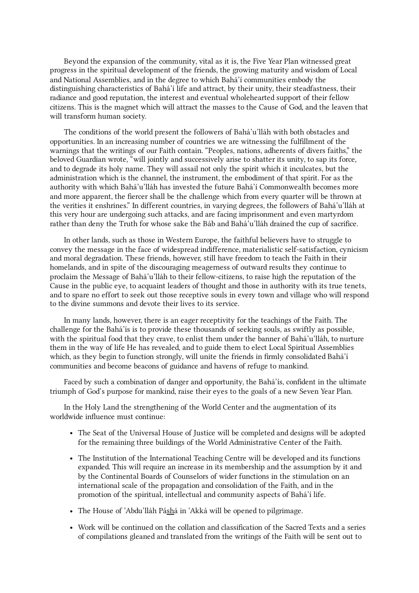Beyond the expansion of the community, vital as it is, the Five Year Plan witnessed great progress in the spiritual development of the friends, the growing maturity and wisdom of Local and National Assemblies, and in the degree to which Bahá'í communities embody the distinguishing characteristics of Bahá'í life and attract, by their unity, their steadfastness, their radiance and good reputation, the interest and eventual wholehearted support of their fellow citizens. This is the magnet which will attract the masses to the Cause of God, and the leaven that will transform human society.

The conditions of the world present the followers of Bahá'u'lláh with both obstacles and opportunities. In an increasing number of countries we are witnessing the fulfillment of the warnings that the writings of our Faith contain. "Peoples, nations, adherents of divers faiths," the beloved Guardian wrote, "will jointly and successively arise to shatter its unity, to sap its force, and to degrade its holy name. They will assail not only the spirit which it inculcates, but the administration which is the channel, the instrument, the embodiment of that spirit. For as the authority with which Bahá'u'lláh has invested the future Bahá'í Commonwealth becomes more and more apparent, the fiercer shall be the challenge which from every quarter will be thrown at the verities it enshrines." In different countries, in varying degrees, the followers of Bahá'u'lláh at this very hour are undergoing such attacks, and are facing imprisonment and even martyrdom rather than deny the Truth for whose sake the Báb and Bahá'u'lláh drained the cup of sacrifice.

In other lands, such as those in Western Europe, the faithful believers have to struggle to convey the message in the face of widespread indifference, materialistic self-satisfaction, cynicism and moral degradation. These friends, however, still have freedom to teach the Faith in their homelands, and in spite of the discouraging meagerness of outward results they continue to proclaim the Message of Bahá'u'lláh to their fellow-citizens, to raise high the reputation of the Cause in the public eye, to acquaint leaders of thought and those in authority with its true tenets, and to spare no effort to seek out those receptive souls in every town and village who will respond to the divine summons and devote their lives to its service.

In many lands, however, there is an eager receptivity for the teachings of the Faith. The challenge for the Bahá'ís is to provide these thousands of seeking souls, as swiftly as possible, with the spiritual food that they crave, to enlist them under the banner of Bahá'u'lláh, to nurture them in the way of life He has revealed, and to guide them to elect Local Spiritual Assemblies which, as they begin to function strongly, will unite the friends in firmly consolidated Bahá'í communities and become beacons of guidance and havens of refuge to mankind.

Faced by such a combination of danger and opportunity, the Bahá'ís, confident in the ultimate triumph of God's purpose for mankind, raise their eyes to the goals of a new Seven Year Plan.

In the Holy Land the strengthening of the World Center and the augmentation of its worldwide influence must continue:

- The Seat of the Universal House of Justice will be completed and designs will be adopted for the remaining three buildings of the World Administrative Center of the Faith.
- The Institution of the International Teaching Centre will be developed and its functions expanded. This will require an increase in its membership and the assumption by it and by the Continental Boards of Counselors of wider functions in the stimulation on an international scale of the propagation and consolidation of the Faith, and in the promotion of the spiritual, intellectual and community aspects of Bahá'í life.
- The House of 'Abdu'lláh Páshá in 'Akká will be opened to pilgrimage.
- Work will be continued on the collation and classification of the Sacred Texts and a series of compilations gleaned and translated from the writings of the Faith will be sent out to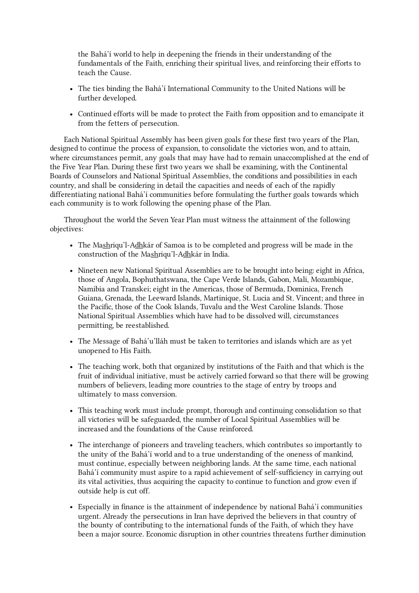the Bahá'í world to help in deepening the friends in their understanding of the fundamentals of the Faith, enriching their spiritual lives, and reinforcing their efforts to teach the Cause.

- The ties binding the Bahá'í International Community to the United Nations will be further developed.
- Continued efforts will be made to protect the Faith from opposition and to emancipate it from the fetters of persecution.

Each National Spiritual Assembly has been given goals for these first two years of the Plan, designed to continue the process of expansion, to consolidate the victories won, and to attain, where circumstances permit, any goals that may have had to remain unaccomplished at the end of the Five Year Plan. During these first two years we shall be examining, with the Continental Boards of Counselors and National Spiritual Assemblies, the conditions and possibilities in each country, and shall be considering in detail the capacities and needs of each of the rapidly differentiating national Bahá'í communities before formulating the further goals towards which each community is to work following the opening phase of the Plan.

Throughout the world the Seven Year Plan must witness the attainment of the following objectives:

- The Mashriqu'l-Adhkár of Samoa is to be completed and progress will be made in the construction of the Mashriqu'l-Adhkár in India.
- Nineteen new National Spiritual Assemblies are to be brought into being: eight in Africa, those of Angola, Bophuthatswana, the Cape Verde Islands, Gabon, Mali, Mozambique, Namibia and Transkei; eight in the Americas, those of Bermuda, Dominica, French Guiana, Grenada, the Leeward Islands, Martinique, St. Lucia and St. Vincent; and three in the Pacific, those of the Cook Islands, Tuvalu and the West Caroline Islands. Those National Spiritual Assemblies which have had to be dissolved will, circumstances permitting, be reestablished.
- The Message of Bahá'u'lláh must be taken to territories and islands which are as yet unopened to His Faith.
- The teaching work, both that organized by institutions of the Faith and that which is the fruit of individual initiative, must be actively carried forward so that there will be growing numbers of believers, leading more countries to the stage of entry by troops and ultimately to mass conversion.
- This teaching work must include prompt, thorough and continuing consolidation so that all victories will be safeguarded, the number of Local Spiritual Assemblies will be increased and the foundations of the Cause reinforced.
- The interchange of pioneers and traveling teachers, which contributes so importantly to the unity of the Bahá'í world and to a true understanding of the oneness of mankind, must continue, especially between neighboring lands. At the same time, each national Bahá'í community must aspire to a rapid achievement of self-sufficiency in carrying out its vital activities, thus acquiring the capacity to continue to function and grow even if outside help is cut off.
- Especially in finance is the attainment of independence by national Bahá'í communities urgent. Already the persecutions in Iran have deprived the believers in that country of the bounty of contributing to the international funds of the Faith, of which they have been a major source. Economic disruption in other countries threatens further diminution